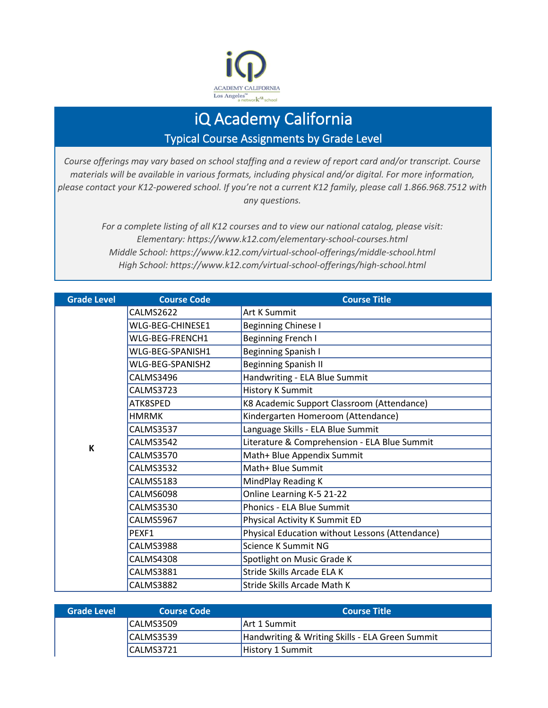

## iQ Academy California Typical Course Assignments by Grade Level

*Course offerings may vary based on school staffing and a review of report card and/or transcript. Course materials will be available in various formats, including physical and/or digital. For more information, please contact your K12-powered school. If you're not a current K12 family, please call 1.866.968.7512 with any questions.*

> *For a complete listing of all K12 courses and to view our national catalog, please visit: Elementary: https://www.k12.com/elementary-school-courses.html Middle School: https://www.k12.com/virtual-school-offerings/middle-school.html High School: https://www.k12.com/virtual-school-offerings/high-school.html*

| <b>Grade Level</b> | <b>Course Code</b> | <b>Course Title</b>                             |
|--------------------|--------------------|-------------------------------------------------|
|                    | CALMS2622          | Art K Summit                                    |
|                    | WLG-BEG-CHINESE1   | Beginning Chinese I                             |
|                    | WLG-BEG-FRENCH1    | Beginning French I                              |
|                    | WLG-BEG-SPANISH1   | <b>Beginning Spanish I</b>                      |
|                    | WLG-BEG-SPANISH2   | <b>Beginning Spanish II</b>                     |
|                    | CALMS3496          | Handwriting - ELA Blue Summit                   |
|                    | CALMS3723          | <b>History K Summit</b>                         |
|                    | ATK8SPED           | K8 Academic Support Classroom (Attendance)      |
|                    | <b>HMRMK</b>       | Kindergarten Homeroom (Attendance)              |
|                    | CALMS3537          | Language Skills - ELA Blue Summit               |
| K                  | <b>CALMS3542</b>   | Literature & Comprehension - ELA Blue Summit    |
|                    | CALMS3570          | Math+ Blue Appendix Summit                      |
|                    | <b>CALMS3532</b>   | Math+ Blue Summit                               |
|                    | <b>CALMS5183</b>   | MindPlay Reading K                              |
|                    | <b>CALMS6098</b>   | Online Learning K-5 21-22                       |
|                    | <b>CALMS3530</b>   | Phonics - ELA Blue Summit                       |
|                    | CALMS5967          | Physical Activity K Summit ED                   |
|                    | PFXF1              | Physical Education without Lessons (Attendance) |
|                    | CALMS3988          | Science K Summit NG                             |
|                    | <b>CALMS4308</b>   | Spotlight on Music Grade K                      |
|                    | <b>CALMS3881</b>   | Stride Skills Arcade ELA K                      |
|                    | <b>CALMS3882</b>   | Stride Skills Arcade Math K                     |

| <b>Grade Level</b> | <b>Course Code</b> | LCourse Title '                                 |
|--------------------|--------------------|-------------------------------------------------|
|                    | CALMS3509          | <b>Art 1 Summit</b>                             |
|                    | CALMS3539          | Handwriting & Writing Skills - ELA Green Summit |
|                    | ICALMS3721         | <b>History 1 Summit</b>                         |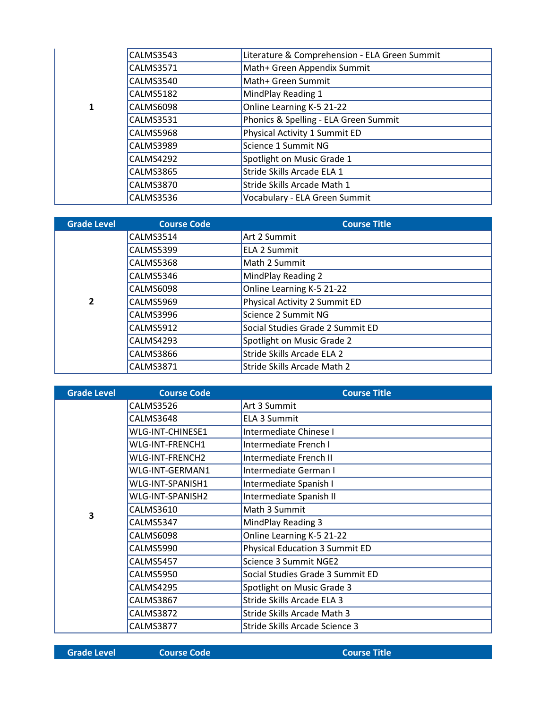|  | CALMS3543 | Literature & Comprehension - ELA Green Summit |
|--|-----------|-----------------------------------------------|
|  | CALMS3571 | Math+ Green Appendix Summit                   |
|  | CALMS3540 | Math+ Green Summit                            |
|  | CALMS5182 | MindPlay Reading 1                            |
|  | CALMS6098 | Online Learning K-5 21-22                     |
|  | CALMS3531 | Phonics & Spelling - ELA Green Summit         |
|  | CALMS5968 | Physical Activity 1 Summit ED                 |
|  | CALMS3989 | Science 1 Summit NG                           |
|  | CALMS4292 | Spotlight on Music Grade 1                    |
|  | CALMS3865 | Stride Skills Arcade ELA 1                    |
|  | CALMS3870 | Stride Skills Arcade Math 1                   |
|  | CALMS3536 | Vocabulary - ELA Green Summit                 |

| <b>Grade Level</b> | <b>Course Code</b> | <b>Course Title</b>              |
|--------------------|--------------------|----------------------------------|
|                    | CALMS3514          | Art 2 Summit                     |
|                    | <b>CALMS5399</b>   | <b>ELA 2 Summit</b>              |
|                    | CALMS5368          | Math 2 Summit                    |
|                    | CALMS5346          | MindPlay Reading 2               |
|                    | CALMS6098          | Online Learning K-5 21-22        |
| $\overline{2}$     | CALMS5969          | Physical Activity 2 Summit ED    |
|                    | CALMS3996          | Science 2 Summit NG              |
|                    | CALMS5912          | Social Studies Grade 2 Summit ED |
|                    | CALMS4293          | Spotlight on Music Grade 2       |
|                    | CALMS3866          | Stride Skills Arcade ELA 2       |
|                    | <b>CALMS3871</b>   | Stride Skills Arcade Math 2      |

| <b>Grade Level</b> | <b>Course Code</b> | <b>Course Title</b>                   |
|--------------------|--------------------|---------------------------------------|
|                    | CALMS3526          | Art 3 Summit                          |
|                    | CALMS3648          | <b>ELA 3 Summit</b>                   |
|                    | WLG-INT-CHINESE1   | Intermediate Chinese I                |
|                    | WLG-INT-FRENCH1    | Intermediate French I                 |
|                    | WLG-INT-FRENCH2    | Intermediate French II                |
|                    | WLG-INT-GERMAN1    | Intermediate German I                 |
|                    | WLG-INT-SPANISH1   | Intermediate Spanish I                |
|                    | WLG-INT-SPANISH2   | Intermediate Spanish II               |
| 3                  | CALMS3610          | Math 3 Summit                         |
|                    | CALMS5347          | MindPlay Reading 3                    |
|                    | CALMS6098          | Online Learning K-5 21-22             |
|                    | CALMS5990          | <b>Physical Education 3 Summit ED</b> |
|                    | CALMS5457          | Science 3 Summit NGE2                 |
|                    | CALMS5950          | Social Studies Grade 3 Summit ED      |
|                    | CALMS4295          | Spotlight on Music Grade 3            |
|                    | CALMS3867          | Stride Skills Arcade ELA 3            |
|                    | CALMS3872          | Stride Skills Arcade Math 3           |
|                    | CALMS3877          | Stride Skills Arcade Science 3        |

**Grade Level Course Code Course Title**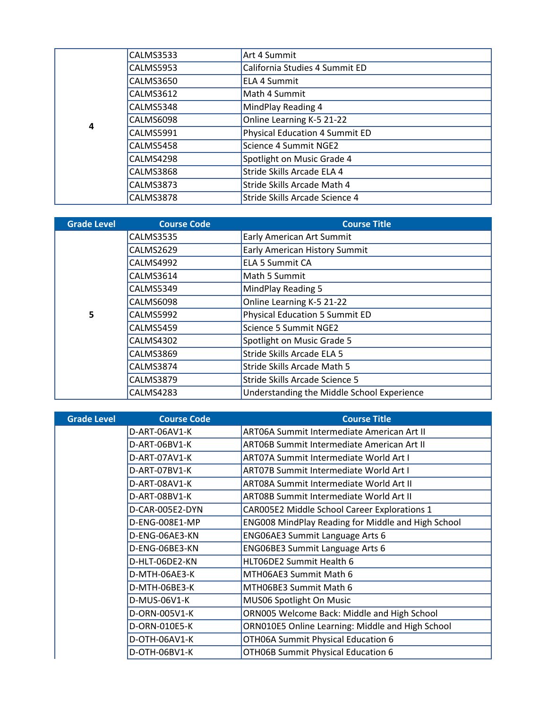|   | <b>CALMS3533</b> | Art 4 Summit                          |
|---|------------------|---------------------------------------|
|   | <b>CALMS5953</b> | California Studies 4 Summit ED        |
|   | CALMS3650        | <b>ELA 4 Summit</b>                   |
|   | <b>CALMS3612</b> | Math 4 Summit                         |
|   | <b>CALMS5348</b> | MindPlay Reading 4                    |
|   | CALMS6098        | Online Learning K-5 21-22             |
| 4 | CALMS5991        | <b>Physical Education 4 Summit ED</b> |
|   | <b>CALMS5458</b> | Science 4 Summit NGE2                 |
|   | CALMS4298        | Spotlight on Music Grade 4            |
|   | <b>CALMS3868</b> | Stride Skills Arcade ELA 4            |
|   | <b>CALMS3873</b> | Stride Skills Arcade Math 4           |
|   | <b>CALMS3878</b> | Stride Skills Arcade Science 4        |

| <b>Grade Level</b> | <b>Course Code</b> | <b>Course Title</b>                        |
|--------------------|--------------------|--------------------------------------------|
|                    | <b>CALMS3535</b>   | <b>Early American Art Summit</b>           |
|                    | CALMS2629          | <b>Early American History Summit</b>       |
|                    | CALMS4992          | <b>ELA 5 Summit CA</b>                     |
|                    | CALMS3614          | Math 5 Summit                              |
|                    | CALMS5349          | MindPlay Reading 5                         |
|                    | CALMS6098          | Online Learning K-5 21-22                  |
| 5                  | CALMS5992          | <b>Physical Education 5 Summit ED</b>      |
|                    | <b>CALMS5459</b>   | Science 5 Summit NGE2                      |
|                    | <b>CALMS4302</b>   | Spotlight on Music Grade 5                 |
|                    | CALMS3869          | Stride Skills Arcade ELA 5                 |
|                    | <b>CALMS3874</b>   | Stride Skills Arcade Math 5                |
|                    | <b>CALMS3879</b>   | Stride Skills Arcade Science 5             |
|                    | CALMS4283          | Understanding the Middle School Experience |

| <b>Grade Level</b> | <b>Course Code</b> | <b>Course Title</b>                                |
|--------------------|--------------------|----------------------------------------------------|
|                    | D-ART-06AV1-K      | ART06A Summit Intermediate American Art II         |
|                    | D-ART-06BV1-K      | ART06B Summit Intermediate American Art II         |
|                    | D-ART-07AV1-K      | <b>ART07A Summit Intermediate World Art I</b>      |
|                    | D-ART-07BV1-K      | <b>ART07B Summit Intermediate World Art I</b>      |
|                    | D-ART-08AV1-K      | ART08A Summit Intermediate World Art II            |
|                    | D-ART-08BV1-K      | <b>ART08B Summit Intermediate World Art II</b>     |
|                    | D-CAR-005E2-DYN    | CAR005E2 Middle School Career Explorations 1       |
|                    | D-ENG-008E1-MP     | ENG008 MindPlay Reading for Middle and High School |
|                    | D-ENG-06AE3-KN     | ENG06AE3 Summit Language Arts 6                    |
|                    | D-ENG-06BE3-KN     | <b>ENG06BE3 Summit Language Arts 6</b>             |
|                    | D-HLT-06DE2-KN     | HLT06DE2 Summit Health 6                           |
|                    | D-MTH-06AE3-K      | MTH06AE3 Summit Math 6                             |
|                    | D-MTH-06BE3-K      | MTH06BE3 Summit Math 6                             |
|                    | D-MUS-06V1-K       | MUS06 Spotlight On Music                           |
|                    | D-ORN-005V1-K      | ORN005 Welcome Back: Middle and High School        |
|                    | D-ORN-010E5-K      | ORN010E5 Online Learning: Middle and High School   |
|                    | D-OTH-06AV1-K      | OTH06A Summit Physical Education 6                 |
|                    | D-OTH-06BV1-K      | OTH06B Summit Physical Education 6                 |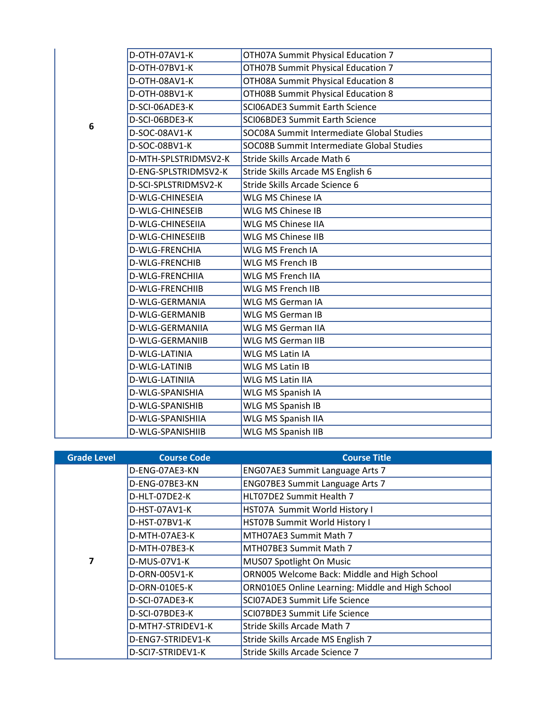|   | D-OTH-07AV1-K          | OTH07A Summit Physical Education 7        |
|---|------------------------|-------------------------------------------|
|   | D-OTH-07BV1-K          | OTH07B Summit Physical Education 7        |
|   | D-OTH-08AV1-K          | OTH08A Summit Physical Education 8        |
|   | D-OTH-08BV1-K          | OTH08B Summit Physical Education 8        |
|   | D-SCI-06ADE3-K         | <b>SCI06ADE3 Summit Earth Science</b>     |
| 6 | D-SCI-06BDE3-K         | SCI06BDE3 Summit Earth Science            |
|   | D-SOC-08AV1-K          | SOC08A Summit Intermediate Global Studies |
|   | D-SOC-08BV1-K          | SOC08B Summit Intermediate Global Studies |
|   | D-MTH-SPLSTRIDMSV2-K   | Stride Skills Arcade Math 6               |
|   | D-ENG-SPLSTRIDMSV2-K   | Stride Skills Arcade MS English 6         |
|   | D-SCI-SPLSTRIDMSV2-K   | Stride Skills Arcade Science 6            |
|   | D-WLG-CHINESEIA        | WLG MS Chinese IA                         |
|   | D-WLG-CHINESEIB        | WLG MS Chinese IB                         |
|   | D-WLG-CHINESEIIA       | <b>WLG MS Chinese IIA</b>                 |
|   | D-WLG-CHINESEIIB       | WLG MS Chinese IIB                        |
|   | D-WLG-FRENCHIA         | WLG MS French IA                          |
|   | D-WLG-FRENCHIB         | WLG MS French IB                          |
|   | <b>D-WLG-FRENCHIIA</b> | WLG MS French IIA                         |
|   | D-WLG-FRENCHIIB        | WLG MS French IIB                         |
|   | D-WLG-GERMANIA         | WLG MS German IA                          |
|   | D-WLG-GERMANIB         | <b>WLG MS German IB</b>                   |
|   | D-WLG-GERMANIIA        | WLG MS German IIA                         |
|   | D-WLG-GERMANIIB        | <b>WLG MS German IIB</b>                  |
|   | D-WLG-LATINIA          | WLG MS Latin IA                           |
|   | D-WLG-LATINIB          | <b>WLG MS Latin IB</b>                    |
|   | D-WLG-LATINIIA         | <b>WLG MS Latin IIA</b>                   |
|   | D-WLG-SPANISHIA        | WLG MS Spanish IA                         |
|   | D-WLG-SPANISHIB        | WLG MS Spanish IB                         |
|   | D-WLG-SPANISHIIA       | WLG MS Spanish IIA                        |
|   | D-WLG-SPANISHIIB       | WLG MS Spanish IIB                        |
|   |                        |                                           |

| <b>Grade Level</b> | <b>Course Code</b> | <b>Course Title</b>                              |
|--------------------|--------------------|--------------------------------------------------|
|                    | D-ENG-07AE3-KN     | ENG07AE3 Summit Language Arts 7                  |
|                    | D-ENG-07BE3-KN     | ENG07BE3 Summit Language Arts 7                  |
|                    | D-HLT-07DE2-K      | HLT07DE2 Summit Health 7                         |
|                    | D-HST-07AV1-K      | HST07A Summit World History I                    |
|                    | D-HST-07BV1-K      | HST07B Summit World History I                    |
|                    | D-MTH-07AE3-K      | MTH07AE3 Summit Math 7                           |
|                    | D-MTH-07BE3-K      | MTH07BE3 Summit Math 7                           |
| 7                  | D-MUS-07V1-K       | MUS07 Spotlight On Music                         |
|                    | D-ORN-005V1-K      | ORN005 Welcome Back: Middle and High School      |
|                    | D-ORN-010E5-K      | ORN010E5 Online Learning: Middle and High School |
|                    | D-SCI-07ADE3-K     | SCI07ADE3 Summit Life Science                    |
|                    | D-SCI-07BDE3-K     | SCI07BDE3 Summit Life Science                    |
|                    | D-MTH7-STRIDEV1-K  | Stride Skills Arcade Math 7                      |
|                    | D-ENG7-STRIDEV1-K  | Stride Skills Arcade MS English 7                |
|                    | D-SCI7-STRIDEV1-K  | Stride Skills Arcade Science 7                   |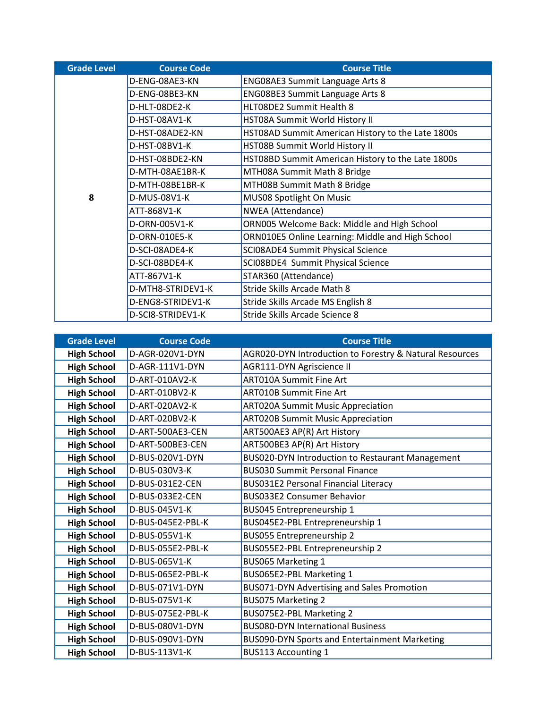| <b>Grade Level</b> | <b>Course Code</b> | <b>Course Title</b>                               |
|--------------------|--------------------|---------------------------------------------------|
|                    | D-ENG-08AE3-KN     | <b>ENG08AE3 Summit Language Arts 8</b>            |
|                    | D-ENG-08BE3-KN     | <b>ENG08BE3 Summit Language Arts 8</b>            |
|                    | D-HLT-08DE2-K      | HLT08DE2 Summit Health 8                          |
|                    | D-HST-08AV1-K      | HST08A Summit World History II                    |
|                    | D-HST-08ADE2-KN    | HST08AD Summit American History to the Late 1800s |
|                    | D-HST-08BV1-K      | HST08B Summit World History II                    |
|                    | D-HST-08BDE2-KN    | HST08BD Summit American History to the Late 1800s |
|                    | D-MTH-08AE1BR-K    | MTH08A Summit Math 8 Bridge                       |
|                    | D-MTH-08BE1BR-K    | MTH08B Summit Math 8 Bridge                       |
| 8                  | D-MUS-08V1-K       | MUS08 Spotlight On Music                          |
|                    | ATT-868V1-K        | <b>NWEA</b> (Attendance)                          |
|                    | D-ORN-005V1-K      | ORN005 Welcome Back: Middle and High School       |
|                    | D-ORN-010E5-K      | ORN010E5 Online Learning: Middle and High School  |
|                    | D-SCI-08ADE4-K     | SCI08ADE4 Summit Physical Science                 |
|                    | D-SCI-08BDE4-K     | SCI08BDE4 Summit Physical Science                 |
|                    | ATT-867V1-K        | STAR360 (Attendance)                              |
|                    | D-MTH8-STRIDEV1-K  | Stride Skills Arcade Math 8                       |
|                    | D-ENG8-STRIDEV1-K  | Stride Skills Arcade MS English 8                 |
|                    | D-SCI8-STRIDEV1-K  | Stride Skills Arcade Science 8                    |

| <b>Grade Level</b> | <b>Course Code</b> | <b>Course Title</b>                                     |
|--------------------|--------------------|---------------------------------------------------------|
| <b>High School</b> | D-AGR-020V1-DYN    | AGR020-DYN Introduction to Forestry & Natural Resources |
| <b>High School</b> | D-AGR-111V1-DYN    | <b>AGR111-DYN Agriscience II</b>                        |
| <b>High School</b> | D-ART-010AV2-K     | <b>ART010A Summit Fine Art</b>                          |
| <b>High School</b> | D-ART-010BV2-K     | <b>ART010B Summit Fine Art</b>                          |
| <b>High School</b> | D-ART-020AV2-K     | <b>ART020A Summit Music Appreciation</b>                |
| <b>High School</b> | D-ART-020BV2-K     | <b>ART020B Summit Music Appreciation</b>                |
| <b>High School</b> | D-ART-500AE3-CEN   | ART500AE3 AP(R) Art History                             |
| <b>High School</b> | D-ART-500BE3-CEN   | ART500BE3 AP(R) Art History                             |
| <b>High School</b> | D-BUS-020V1-DYN    | BUS020-DYN Introduction to Restaurant Management        |
| <b>High School</b> | D-BUS-030V3-K      | <b>BUS030 Summit Personal Finance</b>                   |
| <b>High School</b> | D-BUS-031E2-CEN    | <b>BUS031E2 Personal Financial Literacy</b>             |
| <b>High School</b> | D-BUS-033E2-CEN    | <b>BUS033E2 Consumer Behavior</b>                       |
| <b>High School</b> | D-BUS-045V1-K      | BUS045 Entrepreneurship 1                               |
| <b>High School</b> | D-BUS-045E2-PBL-K  | BUS045E2-PBL Entrepreneurship 1                         |
| <b>High School</b> | D-BUS-055V1-K      | <b>BUS055 Entrepreneurship 2</b>                        |
| <b>High School</b> | D-BUS-055E2-PBL-K  | BUS055E2-PBL Entrepreneurship 2                         |
| <b>High School</b> | D-BUS-065V1-K      | <b>BUS065 Marketing 1</b>                               |
| <b>High School</b> | D-BUS-065E2-PBL-K  | BUS065E2-PBL Marketing 1                                |
| <b>High School</b> | D-BUS-071V1-DYN    | BUS071-DYN Advertising and Sales Promotion              |
| <b>High School</b> | D-BUS-075V1-K      | <b>BUS075 Marketing 2</b>                               |
| <b>High School</b> | D-BUS-075E2-PBL-K  | BUS075E2-PBL Marketing 2                                |
| <b>High School</b> | D-BUS-080V1-DYN    | <b>BUS080-DYN International Business</b>                |
| <b>High School</b> | D-BUS-090V1-DYN    | BUS090-DYN Sports and Entertainment Marketing           |
| <b>High School</b> | D-BUS-113V1-K      | <b>BUS113 Accounting 1</b>                              |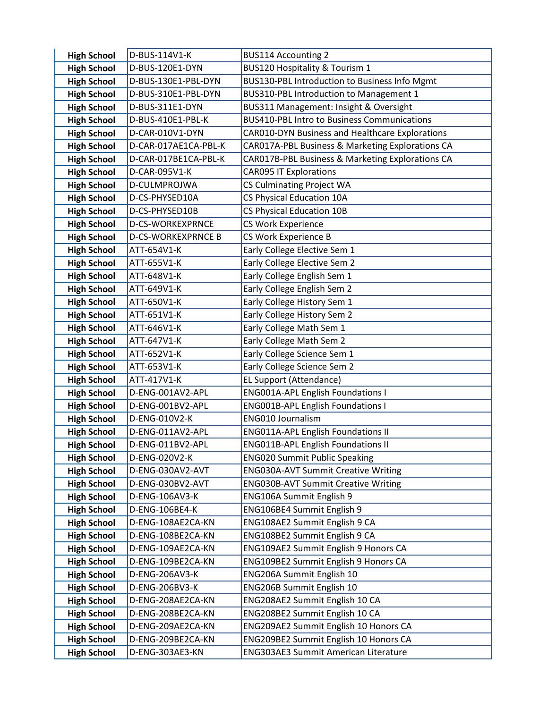| <b>High School</b>                       | D-BUS-114V1-K                        | <b>BUS114 Accounting 2</b>                                             |
|------------------------------------------|--------------------------------------|------------------------------------------------------------------------|
| <b>High School</b>                       | D-BUS-120E1-DYN                      | BUS120 Hospitality & Tourism 1                                         |
| <b>High School</b>                       | D-BUS-130E1-PBL-DYN                  | BUS130-PBL Introduction to Business Info Mgmt                          |
| <b>High School</b>                       | D-BUS-310E1-PBL-DYN                  | BUS310-PBL Introduction to Management 1                                |
| <b>High School</b>                       | D-BUS-311E1-DYN                      | BUS311 Management: Insight & Oversight                                 |
| <b>High School</b>                       | D-BUS-410E1-PBL-K                    | <b>BUS410-PBL Intro to Business Communications</b>                     |
| <b>High School</b>                       | D-CAR-010V1-DYN                      | CAR010-DYN Business and Healthcare Explorations                        |
| <b>High School</b>                       | D-CAR-017AE1CA-PBL-K                 | CAR017A-PBL Business & Marketing Explorations CA                       |
| <b>High School</b>                       | D-CAR-017BE1CA-PBL-K                 | CAR017B-PBL Business & Marketing Explorations CA                       |
| <b>High School</b>                       | D-CAR-095V1-K                        | <b>CAR095 IT Explorations</b>                                          |
| <b>High School</b>                       | D-CULMPROJWA                         | <b>CS Culminating Project WA</b>                                       |
| <b>High School</b>                       | D-CS-PHYSED10A                       | CS Physical Education 10A                                              |
| <b>High School</b>                       | D-CS-PHYSED10B                       | <b>CS Physical Education 10B</b>                                       |
| <b>High School</b>                       | D-CS-WORKEXPRNCE                     | CS Work Experience                                                     |
| <b>High School</b>                       | <b>D-CS-WORKEXPRNCE B</b>            | CS Work Experience B                                                   |
| <b>High School</b>                       | ATT-654V1-K                          | Early College Elective Sem 1                                           |
| <b>High School</b>                       | ATT-655V1-K                          | Early College Elective Sem 2                                           |
| <b>High School</b>                       | ATT-648V1-K                          | Early College English Sem 1                                            |
| <b>High School</b>                       | ATT-649V1-K                          | Early College English Sem 2                                            |
| <b>High School</b>                       | ATT-650V1-K                          | Early College History Sem 1                                            |
| <b>High School</b>                       | ATT-651V1-K                          | Early College History Sem 2                                            |
| <b>High School</b>                       | ATT-646V1-K                          | Early College Math Sem 1                                               |
| <b>High School</b>                       | ATT-647V1-K                          | Early College Math Sem 2                                               |
| <b>High School</b>                       | ATT-652V1-K                          | Early College Science Sem 1                                            |
| <b>High School</b>                       | ATT-653V1-K                          | Early College Science Sem 2                                            |
| <b>High School</b>                       | ATT-417V1-K                          | EL Support (Attendance)                                                |
| <b>High School</b>                       | D-ENG-001AV2-APL                     | <b>ENG001A-APL English Foundations I</b>                               |
| <b>High School</b>                       | D-ENG-001BV2-APL                     | <b>ENG001B-APL English Foundations I</b>                               |
| <b>High School</b>                       | D-ENG-010V2-K                        | ENG010 Journalism                                                      |
| <b>High School</b>                       | D-ENG-011AV2-APL                     | <b>ENG011A-APL English Foundations II</b>                              |
| <b>High School</b>                       | D-ENG-011BV2-APL                     | <b>ENG011B-APL English Foundations II</b>                              |
| <b>High School</b>                       | D-ENG-020V2-K                        | <b>ENG020 Summit Public Speaking</b>                                   |
| <b>High School</b>                       | D-ENG-030AV2-AVT<br>D-ENG-030BV2-AVT | <b>ENG030A-AVT Summit Creative Writing</b>                             |
| <b>High School</b><br><b>High School</b> | D-ENG-106AV3-K                       | <b>ENG030B-AVT Summit Creative Writing</b><br>ENG106A Summit English 9 |
| <b>High School</b>                       | D-ENG-106BE4-K                       | ENG106BE4 Summit English 9                                             |
| <b>High School</b>                       | D-ENG-108AE2CA-KN                    | ENG108AE2 Summit English 9 CA                                          |
| <b>High School</b>                       | D-ENG-108BE2CA-KN                    | ENG108BE2 Summit English 9 CA                                          |
| <b>High School</b>                       | D-ENG-109AE2CA-KN                    | ENG109AE2 Summit English 9 Honors CA                                   |
| <b>High School</b>                       | D-ENG-109BE2CA-KN                    | ENG109BE2 Summit English 9 Honors CA                                   |
| <b>High School</b>                       | D-ENG-206AV3-K                       | ENG206A Summit English 10                                              |
| <b>High School</b>                       | D-ENG-206BV3-K                       | <b>ENG206B Summit English 10</b>                                       |
| <b>High School</b>                       | D-ENG-208AE2CA-KN                    | ENG208AE2 Summit English 10 CA                                         |
| <b>High School</b>                       | D-ENG-208BE2CA-KN                    | ENG208BE2 Summit English 10 CA                                         |
| <b>High School</b>                       | D-ENG-209AE2CA-KN                    | ENG209AE2 Summit English 10 Honors CA                                  |
| <b>High School</b>                       | D-ENG-209BE2CA-KN                    | ENG209BE2 Summit English 10 Honors CA                                  |
| <b>High School</b>                       | D-ENG-303AE3-KN                      | <b>ENG303AE3 Summit American Literature</b>                            |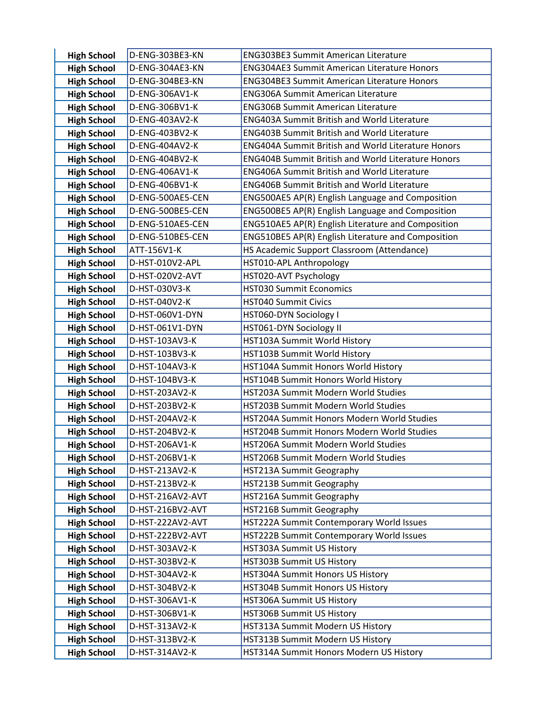| <b>High School</b>                       | D-ENG-303BE3-KN                  | <b>ENG303BE3 Summit American Literature</b>                                |
|------------------------------------------|----------------------------------|----------------------------------------------------------------------------|
| <b>High School</b>                       | D-ENG-304AE3-KN                  | <b>ENG304AE3 Summit American Literature Honors</b>                         |
| <b>High School</b>                       | D-ENG-304BE3-KN                  | <b>ENG304BE3 Summit American Literature Honors</b>                         |
| <b>High School</b>                       | D-ENG-306AV1-K                   | <b>ENG306A Summit American Literature</b>                                  |
| <b>High School</b>                       | D-ENG-306BV1-K                   | <b>ENG306B Summit American Literature</b>                                  |
| <b>High School</b>                       | D-ENG-403AV2-K                   | <b>ENG403A Summit British and World Literature</b>                         |
| <b>High School</b>                       | D-ENG-403BV2-K                   | <b>ENG403B Summit British and World Literature</b>                         |
| <b>High School</b>                       | D-ENG-404AV2-K                   | <b>ENG404A Summit British and World Literature Honors</b>                  |
| <b>High School</b>                       | D-ENG-404BV2-K                   | <b>ENG404B Summit British and World Literature Honors</b>                  |
| <b>High School</b>                       | D-ENG-406AV1-K                   | <b>ENG406A Summit British and World Literature</b>                         |
| <b>High School</b>                       | D-ENG-406BV1-K                   | <b>ENG406B Summit British and World Literature</b>                         |
| <b>High School</b>                       | D-ENG-500AE5-CEN                 | ENG500AE5 AP(R) English Language and Composition                           |
| <b>High School</b>                       | D-ENG-500BE5-CEN                 | ENG500BE5 AP(R) English Language and Composition                           |
| <b>High School</b>                       | D-ENG-510AE5-CEN                 | ENG510AE5 AP(R) English Literature and Composition                         |
| <b>High School</b>                       | D-ENG-510BE5-CEN                 | ENG510BE5 AP(R) English Literature and Composition                         |
| <b>High School</b>                       | ATT-156V1-K                      | HS Academic Support Classroom (Attendance)                                 |
| <b>High School</b>                       | D-HST-010V2-APL                  | HST010-APL Anthropology                                                    |
| <b>High School</b>                       | D-HST-020V2-AVT                  | HST020-AVT Psychology                                                      |
| <b>High School</b>                       | D-HST-030V3-K                    | <b>HST030 Summit Economics</b>                                             |
| <b>High School</b>                       | D-HST-040V2-K                    | <b>HST040 Summit Civics</b>                                                |
| <b>High School</b>                       | D-HST-060V1-DYN                  | HST060-DYN Sociology I                                                     |
| <b>High School</b>                       | D-HST-061V1-DYN                  | HST061-DYN Sociology II                                                    |
| <b>High School</b>                       | D-HST-103AV3-K                   | HST103A Summit World History                                               |
| <b>High School</b>                       | D-HST-103BV3-K                   | HST103B Summit World History                                               |
| <b>High School</b>                       | D-HST-104AV3-K                   | HST104A Summit Honors World History                                        |
| <b>High School</b>                       | D-HST-104BV3-K                   | HST104B Summit Honors World History                                        |
| <b>High School</b>                       | D-HST-203AV2-K<br>D-HST-203BV2-K | HST203A Summit Modern World Studies<br>HST203B Summit Modern World Studies |
| <b>High School</b><br><b>High School</b> | D-HST-204AV2-K                   | HST204A Summit Honors Modern World Studies                                 |
| <b>High School</b>                       | D-HST-204BV2-K                   | HST204B Summit Honors Modern World Studies                                 |
| <b>High School</b>                       | D-HST-206AV1-K                   | HST206A Summit Modern World Studies                                        |
| <b>High School</b>                       | D-HST-206BV1-K                   | HST206B Summit Modern World Studies                                        |
| <b>High School</b>                       | D-HST-213AV2-K                   | HST213A Summit Geography                                                   |
| <b>High School</b>                       | D-HST-213BV2-K                   | <b>HST213B Summit Geography</b>                                            |
| <b>High School</b>                       | D-HST-216AV2-AVT                 | HST216A Summit Geography                                                   |
| <b>High School</b>                       | D-HST-216BV2-AVT                 | HST216B Summit Geography                                                   |
| <b>High School</b>                       | D-HST-222AV2-AVT                 | HST222A Summit Contemporary World Issues                                   |
| <b>High School</b>                       | D-HST-222BV2-AVT                 | HST222B Summit Contemporary World Issues                                   |
| <b>High School</b>                       | D-HST-303AV2-K                   | HST303A Summit US History                                                  |
| <b>High School</b>                       | D-HST-303BV2-K                   | HST303B Summit US History                                                  |
| <b>High School</b>                       | D-HST-304AV2-K                   | HST304A Summit Honors US History                                           |
| <b>High School</b>                       | D-HST-304BV2-K                   | HST304B Summit Honors US History                                           |
| <b>High School</b>                       | D-HST-306AV1-K                   | HST306A Summit US History                                                  |
| <b>High School</b>                       | D-HST-306BV1-K                   | HST306B Summit US History                                                  |
| <b>High School</b>                       | D-HST-313AV2-K                   | HST313A Summit Modern US History                                           |
| <b>High School</b>                       | D-HST-313BV2-K                   | HST313B Summit Modern US History                                           |
| <b>High School</b>                       | D-HST-314AV2-K                   | HST314A Summit Honors Modern US History                                    |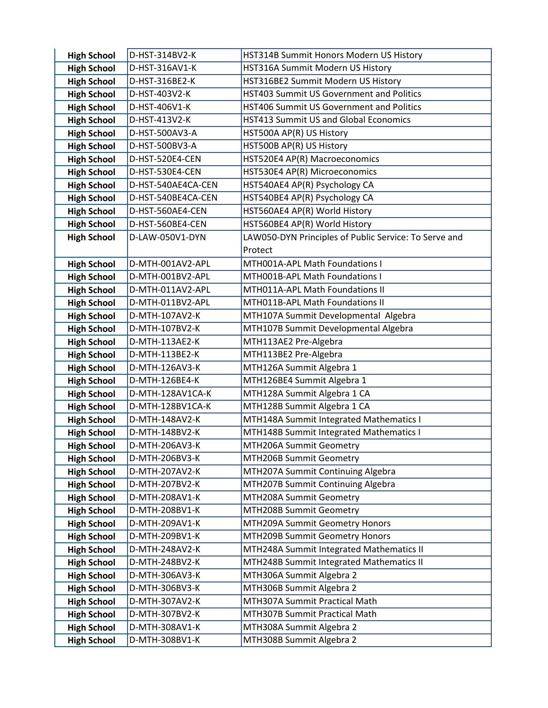| <b>High School</b> | D-HST-314BV2-K     | HST314B Summit Honors Modern US History               |
|--------------------|--------------------|-------------------------------------------------------|
| <b>High School</b> | D-HST-316AV1-K     | HST316A Summit Modern US History                      |
| <b>High School</b> | D-HST-316BE2-K     | HST316BE2 Summit Modern US History                    |
| <b>High School</b> | D-HST-403V2-K      | HST403 Summit US Government and Politics              |
| <b>High School</b> | D-HST-406V1-K      | HST406 Summit US Government and Politics              |
| <b>High School</b> | D-HST-413V2-K      | <b>HST413 Summit US and Global Economics</b>          |
| <b>High School</b> | D-HST-500AV3-A     | HST500A AP(R) US History                              |
| <b>High School</b> | D-HST-500BV3-A     | HST500B AP(R) US History                              |
| <b>High School</b> | D-HST-520E4-CEN    | HST520E4 AP(R) Macroeconomics                         |
| <b>High School</b> | D-HST-530E4-CEN    | HST530E4 AP(R) Microeconomics                         |
| <b>High School</b> | D-HST-540AE4CA-CEN | HST540AE4 AP(R) Psychology CA                         |
| <b>High School</b> | D-HST-540BE4CA-CEN | HST540BE4 AP(R) Psychology CA                         |
| <b>High School</b> | D-HST-560AE4-CEN   | HST560AE4 AP(R) World History                         |
| <b>High School</b> | D-HST-560BE4-CEN   | HST560BE4 AP(R) World History                         |
| <b>High School</b> | D-LAW-050V1-DYN    | LAW050-DYN Principles of Public Service: To Serve and |
|                    |                    | Protect                                               |
| <b>High School</b> | D-MTH-001AV2-APL   | MTH001A-APL Math Foundations I                        |
| <b>High School</b> | D-MTH-001BV2-APL   | MTH001B-APL Math Foundations I                        |
| <b>High School</b> | D-MTH-011AV2-APL   | MTH011A-APL Math Foundations II                       |
| <b>High School</b> | D-MTH-011BV2-APL   | MTH011B-APL Math Foundations II                       |
| <b>High School</b> | D-MTH-107AV2-K     | MTH107A Summit Developmental Algebra                  |
| <b>High School</b> | D-MTH-107BV2-K     | MTH107B Summit Developmental Algebra                  |
| <b>High School</b> | D-MTH-113AE2-K     | MTH113AE2 Pre-Algebra                                 |
| <b>High School</b> | D-MTH-113BE2-K     | MTH113BE2 Pre-Algebra                                 |
| <b>High School</b> | D-MTH-126AV3-K     | MTH126A Summit Algebra 1                              |
| <b>High School</b> | D-MTH-126BE4-K     | MTH126BE4 Summit Algebra 1                            |
| <b>High School</b> | D-MTH-128AV1CA-K   | MTH128A Summit Algebra 1 CA                           |
| <b>High School</b> | D-MTH-128BV1CA-K   | MTH128B Summit Algebra 1 CA                           |
| <b>High School</b> | D-MTH-148AV2-K     | MTH148A Summit Integrated Mathematics I               |
| <b>High School</b> | D-MTH-148BV2-K     | MTH148B Summit Integrated Mathematics I               |
| <b>High School</b> | D-MTH-206AV3-K     | MTH206A Summit Geometry                               |
| <b>High School</b> | D-MTH-206BV3-K     | MTH206B Summit Geometry                               |
| <b>High School</b> | D-MTH-207AV2-K     | MTH207A Summit Continuing Algebra                     |
| <b>High School</b> | D-MTH-207BV2-K     | MTH207B Summit Continuing Algebra                     |
| <b>High School</b> | D-MTH-208AV1-K     | MTH208A Summit Geometry                               |
| <b>High School</b> | D-MTH-208BV1-K     | MTH208B Summit Geometry                               |
| <b>High School</b> | D-MTH-209AV1-K     | MTH209A Summit Geometry Honors                        |
| <b>High School</b> | D-MTH-209BV1-K     | MTH209B Summit Geometry Honors                        |
| <b>High School</b> | D-MTH-248AV2-K     | MTH248A Summit Integrated Mathematics II              |
| <b>High School</b> | D-MTH-248BV2-K     | MTH248B Summit Integrated Mathematics II              |
| <b>High School</b> | D-MTH-306AV3-K     | MTH306A Summit Algebra 2                              |
| <b>High School</b> | D-MTH-306BV3-K     | MTH306B Summit Algebra 2                              |
| <b>High School</b> | D-MTH-307AV2-K     | MTH307A Summit Practical Math                         |
| <b>High School</b> | D-MTH-307BV2-K     | MTH307B Summit Practical Math                         |
| <b>High School</b> | D-MTH-308AV1-K     | MTH308A Summit Algebra 2                              |
| <b>High School</b> | D-MTH-308BV1-K     | MTH308B Summit Algebra 2                              |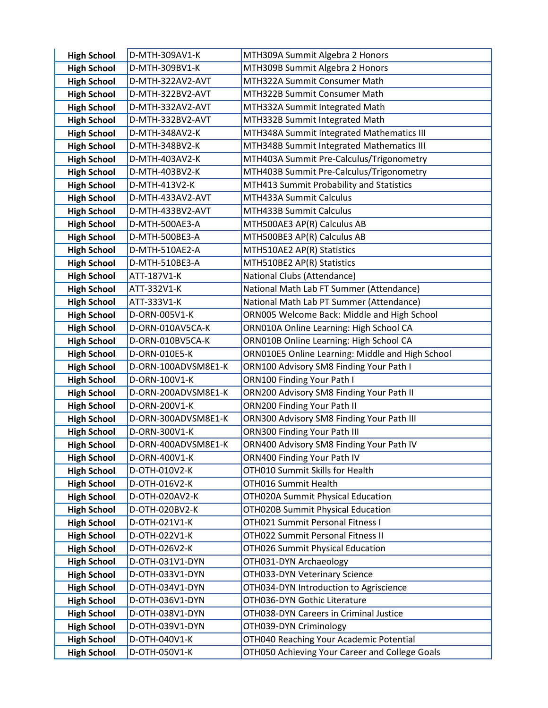| <b>High School</b>                       | D-MTH-309AV1-K                       | MTH309A Summit Algebra 2 Honors                                         |
|------------------------------------------|--------------------------------------|-------------------------------------------------------------------------|
| <b>High School</b>                       | D-MTH-309BV1-K                       | MTH309B Summit Algebra 2 Honors                                         |
| <b>High School</b>                       | D-MTH-322AV2-AVT                     | MTH322A Summit Consumer Math                                            |
| <b>High School</b>                       | D-MTH-322BV2-AVT                     | MTH322B Summit Consumer Math                                            |
| <b>High School</b>                       | D-MTH-332AV2-AVT                     | MTH332A Summit Integrated Math                                          |
| <b>High School</b>                       | D-MTH-332BV2-AVT                     | MTH332B Summit Integrated Math                                          |
| <b>High School</b>                       | D-MTH-348AV2-K                       | MTH348A Summit Integrated Mathematics III                               |
| <b>High School</b>                       | D-MTH-348BV2-K                       | MTH348B Summit Integrated Mathematics III                               |
| <b>High School</b>                       | D-MTH-403AV2-K                       | MTH403A Summit Pre-Calculus/Trigonometry                                |
| <b>High School</b>                       | D-MTH-403BV2-K                       | MTH403B Summit Pre-Calculus/Trigonometry                                |
| <b>High School</b>                       | D-MTH-413V2-K                        | MTH413 Summit Probability and Statistics                                |
| <b>High School</b>                       | D-MTH-433AV2-AVT                     | MTH433A Summit Calculus                                                 |
| <b>High School</b>                       | D-MTH-433BV2-AVT                     | MTH433B Summit Calculus                                                 |
| <b>High School</b>                       | D-MTH-500AE3-A                       | MTH500AE3 AP(R) Calculus AB                                             |
| <b>High School</b>                       | D-MTH-500BE3-A                       | MTH500BE3 AP(R) Calculus AB                                             |
| <b>High School</b>                       | D-MTH-510AE2-A                       | MTH510AE2 AP(R) Statistics                                              |
| <b>High School</b>                       | D-MTH-510BE3-A                       | MTH510BE2 AP(R) Statistics                                              |
| <b>High School</b>                       | ATT-187V1-K                          | National Clubs (Attendance)                                             |
| <b>High School</b>                       | ATT-332V1-K                          | National Math Lab FT Summer (Attendance)                                |
| <b>High School</b>                       | ATT-333V1-K                          | National Math Lab PT Summer (Attendance)                                |
| <b>High School</b>                       | D-ORN-005V1-K                        | ORN005 Welcome Back: Middle and High School                             |
| <b>High School</b>                       | D-ORN-010AV5CA-K                     | ORN010A Online Learning: High School CA                                 |
| <b>High School</b>                       | D-ORN-010BV5CA-K                     | ORN010B Online Learning: High School CA                                 |
| <b>High School</b>                       | D-ORN-010E5-K                        | ORN010E5 Online Learning: Middle and High School                        |
| <b>High School</b>                       | D-ORN-100ADVSM8E1-K                  | ORN100 Advisory SM8 Finding Your Path I                                 |
| <b>High School</b>                       | D-ORN-100V1-K                        | ORN100 Finding Your Path I                                              |
| <b>High School</b><br><b>High School</b> | D-ORN-200ADVSM8E1-K<br>D-ORN-200V1-K | ORN200 Advisory SM8 Finding Your Path II<br>ORN200 Finding Your Path II |
| <b>High School</b>                       | D-ORN-300ADVSM8E1-K                  | ORN300 Advisory SM8 Finding Your Path III                               |
| <b>High School</b>                       | D-ORN-300V1-K                        | ORN300 Finding Your Path III                                            |
| <b>High School</b>                       | D-ORN-400ADVSM8E1-K                  | ORN400 Advisory SM8 Finding Your Path IV                                |
| <b>High School</b>                       | D-ORN-400V1-K                        | ORN400 Finding Your Path IV                                             |
| <b>High School</b>                       | D-OTH-010V2-K                        | OTH010 Summit Skills for Health                                         |
| <b>High School</b>                       | D-OTH-016V2-K                        | OTH016 Summit Health                                                    |
| <b>High School</b>                       | D-OTH-020AV2-K                       | OTH020A Summit Physical Education                                       |
| <b>High School</b>                       | D-OTH-020BV2-K                       | <b>OTH020B Summit Physical Education</b>                                |
| <b>High School</b>                       | D-OTH-021V1-K                        | OTH021 Summit Personal Fitness I                                        |
| <b>High School</b>                       | D-OTH-022V1-K                        | OTH022 Summit Personal Fitness II                                       |
| <b>High School</b>                       | D-OTH-026V2-K                        | OTH026 Summit Physical Education                                        |
| <b>High School</b>                       | D-OTH-031V1-DYN                      | OTH031-DYN Archaeology                                                  |
| <b>High School</b>                       | D-OTH-033V1-DYN                      | OTH033-DYN Veterinary Science                                           |
| <b>High School</b>                       | D-OTH-034V1-DYN                      | OTH034-DYN Introduction to Agriscience                                  |
| <b>High School</b>                       | D-OTH-036V1-DYN                      | OTH036-DYN Gothic Literature                                            |
| <b>High School</b>                       | D-OTH-038V1-DYN                      | OTH038-DYN Careers in Criminal Justice                                  |
| <b>High School</b>                       | D-OTH-039V1-DYN                      | OTH039-DYN Criminology                                                  |
| <b>High School</b>                       | D-OTH-040V1-K                        | OTH040 Reaching Your Academic Potential                                 |
| <b>High School</b>                       | D-OTH-050V1-K                        | OTH050 Achieving Your Career and College Goals                          |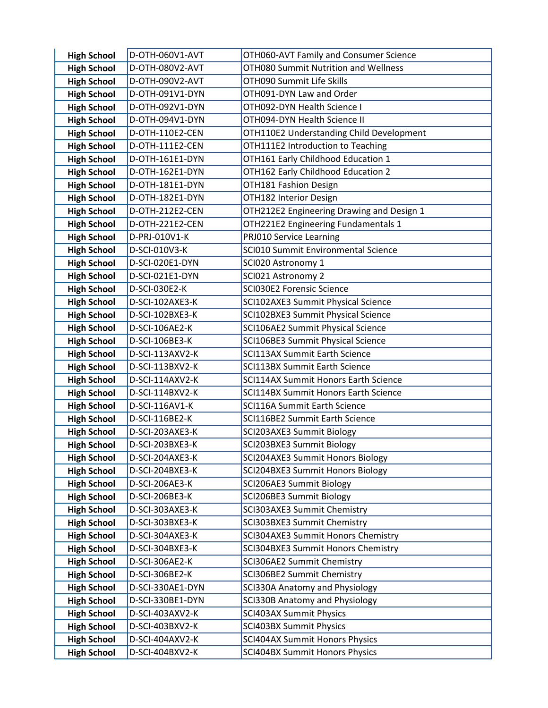| <b>High School</b>                       | D-OTH-060V1-AVT                   | OTH060-AVT Family and Consumer Science                                |
|------------------------------------------|-----------------------------------|-----------------------------------------------------------------------|
| <b>High School</b>                       | D-OTH-080V2-AVT                   | OTH080 Summit Nutrition and Wellness                                  |
| <b>High School</b>                       | D-OTH-090V2-AVT                   | OTH090 Summit Life Skills                                             |
| <b>High School</b>                       | D-OTH-091V1-DYN                   | OTH091-DYN Law and Order                                              |
| <b>High School</b>                       | D-OTH-092V1-DYN                   | OTH092-DYN Health Science I                                           |
| <b>High School</b>                       | D-OTH-094V1-DYN                   | OTH094-DYN Health Science II                                          |
| <b>High School</b>                       | D-OTH-110E2-CEN                   | OTH110E2 Understanding Child Development                              |
| <b>High School</b>                       | D-OTH-111E2-CEN                   | OTH111E2 Introduction to Teaching                                     |
| <b>High School</b>                       | D-OTH-161E1-DYN                   | OTH161 Early Childhood Education 1                                    |
| <b>High School</b>                       | D-OTH-162E1-DYN                   | OTH162 Early Childhood Education 2                                    |
| <b>High School</b>                       | D-OTH-181E1-DYN                   | OTH181 Fashion Design                                                 |
| <b>High School</b>                       | D-OTH-182E1-DYN                   | OTH182 Interior Design                                                |
| <b>High School</b>                       | D-OTH-212E2-CEN                   | OTH212E2 Engineering Drawing and Design 1                             |
| <b>High School</b>                       | D-OTH-221E2-CEN                   | OTH221E2 Engineering Fundamentals 1                                   |
| <b>High School</b>                       | D-PRJ-010V1-K                     | PRJ010 Service Learning                                               |
| <b>High School</b>                       | D-SCI-010V3-K                     | SCI010 Summit Environmental Science                                   |
| <b>High School</b>                       | D-SCI-020E1-DYN                   | SCI020 Astronomy 1                                                    |
| <b>High School</b>                       | D-SCI-021E1-DYN                   | SCI021 Astronomy 2                                                    |
| <b>High School</b>                       | D-SCI-030E2-K                     | SCI030E2 Forensic Science                                             |
| <b>High School</b>                       | D-SCI-102AXE3-K                   | SCI102AXE3 Summit Physical Science                                    |
| <b>High School</b>                       | D-SCI-102BXE3-K                   | SCI102BXE3 Summit Physical Science                                    |
| <b>High School</b>                       | D-SCI-106AE2-K                    | SCI106AE2 Summit Physical Science                                     |
| <b>High School</b>                       | D-SCI-106BE3-K                    | SCI106BE3 Summit Physical Science                                     |
| <b>High School</b>                       | D-SCI-113AXV2-K                   | <b>SCI113AX Summit Earth Science</b>                                  |
| <b>High School</b>                       | D-SCI-113BXV2-K                   | <b>SCI113BX Summit Earth Science</b>                                  |
| <b>High School</b>                       | D-SCI-114AXV2-K                   | SCI114AX Summit Honors Earth Science                                  |
| <b>High School</b>                       | D-SCI-114BXV2-K                   | SCI114BX Summit Honors Earth Science                                  |
| <b>High School</b>                       | D-SCI-116AV1-K                    | <b>SCI116A Summit Earth Science</b><br>SCI116BE2 Summit Earth Science |
| <b>High School</b><br><b>High School</b> | D-SCI-116BE2-K<br>D-SCI-203AXE3-K | SCI203AXE3 Summit Biology                                             |
| <b>High School</b>                       | D-SCI-203BXE3-K                   | SCI203BXE3 Summit Biology                                             |
| <b>High School</b>                       | D-SCI-204AXE3-K                   | SCI204AXE3 Summit Honors Biology                                      |
| <b>High School</b>                       | D-SCI-204BXE3-K                   | SCI204BXE3 Summit Honors Biology                                      |
| <b>High School</b>                       | D-SCI-206AE3-K                    | SCI206AE3 Summit Biology                                              |
| <b>High School</b>                       | D-SCI-206BE3-K                    | SCI206BE3 Summit Biology                                              |
| <b>High School</b>                       | D-SCI-303AXE3-K                   | SCI303AXE3 Summit Chemistry                                           |
| <b>High School</b>                       | D-SCI-303BXE3-K                   | SCI303BXE3 Summit Chemistry                                           |
| <b>High School</b>                       | D-SCI-304AXE3-K                   | SCI304AXE3 Summit Honors Chemistry                                    |
| <b>High School</b>                       | D-SCI-304BXE3-K                   | SCI304BXE3 Summit Honors Chemistry                                    |
| <b>High School</b>                       | D-SCI-306AE2-K                    | SCI306AE2 Summit Chemistry                                            |
| <b>High School</b>                       | D-SCI-306BE2-K                    | SCI306BE2 Summit Chemistry                                            |
| <b>High School</b>                       | D-SCI-330AE1-DYN                  | SCI330A Anatomy and Physiology                                        |
| <b>High School</b>                       | D-SCI-330BE1-DYN                  | <b>SCI330B Anatomy and Physiology</b>                                 |
| <b>High School</b>                       | D-SCI-403AXV2-K                   | <b>SCI403AX Summit Physics</b>                                        |
| <b>High School</b>                       | D-SCI-403BXV2-K                   | <b>SCI403BX Summit Physics</b>                                        |
| <b>High School</b>                       | D-SCI-404AXV2-K                   | <b>SCI404AX Summit Honors Physics</b>                                 |
| <b>High School</b>                       | D-SCI-404BXV2-K                   | <b>SCI404BX Summit Honors Physics</b>                                 |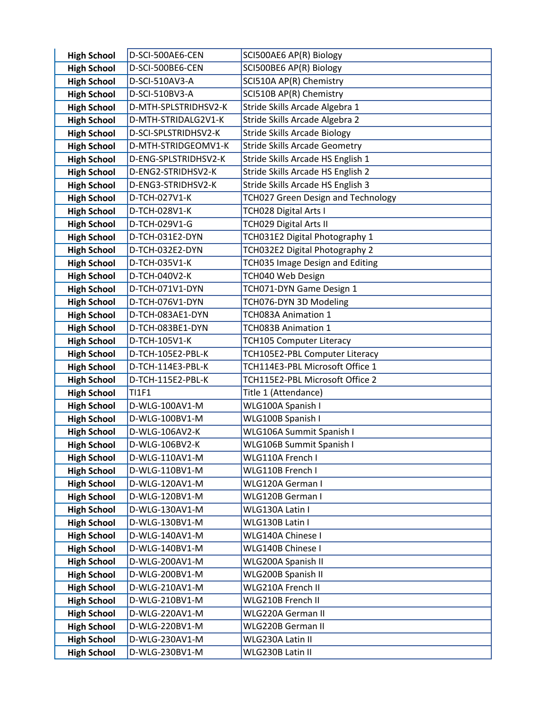| <b>High School</b>                       | D-SCI-500AE6-CEN               | SCI500AE6 AP(R) Biology                   |
|------------------------------------------|--------------------------------|-------------------------------------------|
| <b>High School</b>                       | D-SCI-500BE6-CEN               | SCI500BE6 AP(R) Biology                   |
| <b>High School</b>                       | D-SCI-510AV3-A                 | SCI510A AP(R) Chemistry                   |
| <b>High School</b>                       | D-SCI-510BV3-A                 | SCI510B AP(R) Chemistry                   |
| <b>High School</b>                       | D-MTH-SPLSTRIDHSV2-K           | Stride Skills Arcade Algebra 1            |
| <b>High School</b>                       | D-MTH-STRIDALG2V1-K            | Stride Skills Arcade Algebra 2            |
| <b>High School</b>                       | D-SCI-SPLSTRIDHSV2-K           | <b>Stride Skills Arcade Biology</b>       |
| <b>High School</b>                       | D-MTH-STRIDGEOMV1-K            | <b>Stride Skills Arcade Geometry</b>      |
| <b>High School</b>                       | D-ENG-SPLSTRIDHSV2-K           | Stride Skills Arcade HS English 1         |
| <b>High School</b>                       | D-ENG2-STRIDHSV2-K             | Stride Skills Arcade HS English 2         |
| <b>High School</b>                       | D-ENG3-STRIDHSV2-K             | Stride Skills Arcade HS English 3         |
| <b>High School</b>                       | D-TCH-027V1-K                  | TCH027 Green Design and Technology        |
| <b>High School</b>                       | D-TCH-028V1-K                  | TCH028 Digital Arts I                     |
| <b>High School</b>                       | D-TCH-029V1-G                  | TCH029 Digital Arts II                    |
| <b>High School</b>                       | D-TCH-031E2-DYN                | TCH031E2 Digital Photography 1            |
| <b>High School</b>                       | D-TCH-032E2-DYN                | TCH032E2 Digital Photography 2            |
| <b>High School</b>                       | D-TCH-035V1-K                  | TCH035 Image Design and Editing           |
| <b>High School</b>                       | D-TCH-040V2-K                  | TCH040 Web Design                         |
| <b>High School</b>                       | D-TCH-071V1-DYN                | TCH071-DYN Game Design 1                  |
| <b>High School</b>                       | D-TCH-076V1-DYN                | TCH076-DYN 3D Modeling                    |
| <b>High School</b>                       | D-TCH-083AE1-DYN               | TCH083A Animation 1                       |
| <b>High School</b>                       | D-TCH-083BE1-DYN               | TCH083B Animation 1                       |
| <b>High School</b>                       | D-TCH-105V1-K                  | <b>TCH105 Computer Literacy</b>           |
| <b>High School</b>                       | D-TCH-105E2-PBL-K              | TCH105E2-PBL Computer Literacy            |
| <b>High School</b>                       | D-TCH-114E3-PBL-K              | TCH114E3-PBL Microsoft Office 1           |
| <b>High School</b>                       | D-TCH-115E2-PBL-K              | TCH115E2-PBL Microsoft Office 2           |
| <b>High School</b><br><b>High School</b> | <b>TI1F1</b><br>D-WLG-100AV1-M | Title 1 (Attendance)<br>WLG100A Spanish I |
| <b>High School</b>                       | D-WLG-100BV1-M                 | WLG100B Spanish I                         |
| <b>High School</b>                       | D-WLG-106AV2-K                 | WLG106A Summit Spanish I                  |
| <b>High School</b>                       | D-WLG-106BV2-K                 | WLG106B Summit Spanish I                  |
| <b>High School</b>                       | D-WLG-110AV1-M                 | WLG110A French I                          |
| <b>High School</b>                       | D-WLG-110BV1-M                 | WLG110B French I                          |
| <b>High School</b>                       | D-WLG-120AV1-M                 | WLG120A German I                          |
| <b>High School</b>                       | D-WLG-120BV1-M                 | WLG120B German I                          |
| <b>High School</b>                       | D-WLG-130AV1-M                 | WLG130A Latin I                           |
| <b>High School</b>                       | D-WLG-130BV1-M                 | WLG130B Latin I                           |
| <b>High School</b>                       | D-WLG-140AV1-M                 | WLG140A Chinese I                         |
| <b>High School</b>                       | D-WLG-140BV1-M                 | WLG140B Chinese I                         |
| <b>High School</b>                       | D-WLG-200AV1-M                 | WLG200A Spanish II                        |
| <b>High School</b>                       | D-WLG-200BV1-M                 | WLG200B Spanish II                        |
| <b>High School</b>                       | D-WLG-210AV1-M                 | WLG210A French II                         |
| <b>High School</b>                       | D-WLG-210BV1-M                 | WLG210B French II                         |
| <b>High School</b>                       | D-WLG-220AV1-M                 | WLG220A German II                         |
| <b>High School</b>                       | D-WLG-220BV1-M                 | WLG220B German II                         |
| <b>High School</b>                       | D-WLG-230AV1-M                 | WLG230A Latin II                          |
| <b>High School</b>                       | D-WLG-230BV1-M                 | WLG230B Latin II                          |